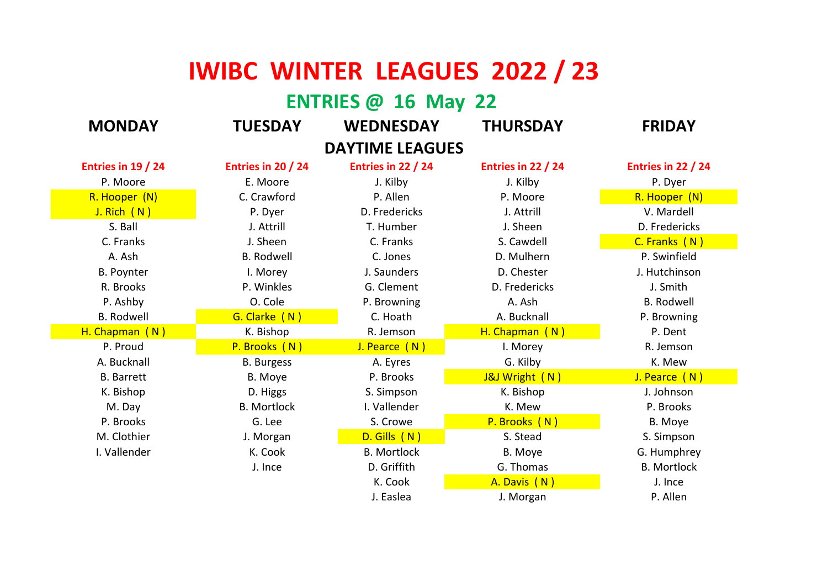## **IWIBC WINTER LEAGUES 2022 / 23**

## **ENTRIES @ 16 May 22**

| <b>MONDAY</b>          | <b>TUESDAY</b>       | <b>WEDNESDAY</b>   | <b>THURSDAY</b>    | <b>FRIDAY</b>      |  |  |
|------------------------|----------------------|--------------------|--------------------|--------------------|--|--|
| <b>DAYTIME LEAGUES</b> |                      |                    |                    |                    |  |  |
| Entries in 19 / 24     | Entries in 20 $/$ 24 | Entries in 22 / 24 | Entries in 22 / 24 | Entries in 22 / 24 |  |  |
| P. Moore               | E. Moore             | J. Kilby           | J. Kilby           | P. Dyer            |  |  |
| R. Hooper (N)          | C. Crawford          | P. Allen           | P. Moore           | R. Hooper (N)      |  |  |
| J. Rich (N)            | P. Dyer              | D. Fredericks      | J. Attrill         | V. Mardell         |  |  |
| S. Ball                | J. Attrill           | T. Humber          | J. Sheen           | D. Fredericks      |  |  |
| C. Franks              | J. Sheen             | C. Franks          | S. Cawdell         | C. Franks (N)      |  |  |
| A. Ash                 | <b>B.</b> Rodwell    | C. Jones           | D. Mulhern         | P. Swinfield       |  |  |
| <b>B. Poynter</b>      | I. Morey             | J. Saunders        | D. Chester         | J. Hutchinson      |  |  |
| R. Brooks              | P. Winkles           | G. Clement         | D. Fredericks      | J. Smith           |  |  |
| P. Ashby               | O. Cole              | P. Browning        | A. Ash             | <b>B. Rodwell</b>  |  |  |
| <b>B.</b> Rodwell      | G. Clarke (N)        | C. Hoath           | A. Bucknall        | P. Browning        |  |  |
| H. Chapman (N)         | K. Bishop            | R. Jemson          | H. Chapman (N)     | P. Dent            |  |  |
| P. Proud               | P. Brooks (N)        | J. Pearce (N)      | I. Morey           | R. Jemson          |  |  |
| A. Bucknall            | <b>B.</b> Burgess    | A. Eyres           | G. Kilby           | K. Mew             |  |  |
| <b>B.</b> Barrett      | B. Moye              | P. Brooks          | J&J Wright (N)     | J. Pearce (N)      |  |  |
| K. Bishop              | D. Higgs             | S. Simpson         | K. Bishop          | J. Johnson         |  |  |
| M. Day                 | <b>B.</b> Mortlock   | I. Vallender       | K. Mew             | P. Brooks          |  |  |
| P. Brooks              | G. Lee               | S. Crowe           | P. Brooks (N)      | B. Moye            |  |  |
| M. Clothier            | J. Morgan            | D. Gills (N)       | S. Stead           | S. Simpson         |  |  |
| I. Vallender           | K. Cook              | <b>B.</b> Mortlock | B. Moye            | G. Humphrey        |  |  |
|                        | J. Ince              | D. Griffith        | G. Thomas          | <b>B.</b> Mortlock |  |  |
|                        |                      | K. Cook            | A. Davis (N)       | J. Ince            |  |  |
|                        |                      | J. Easlea          | J. Morgan          | P. Allen           |  |  |